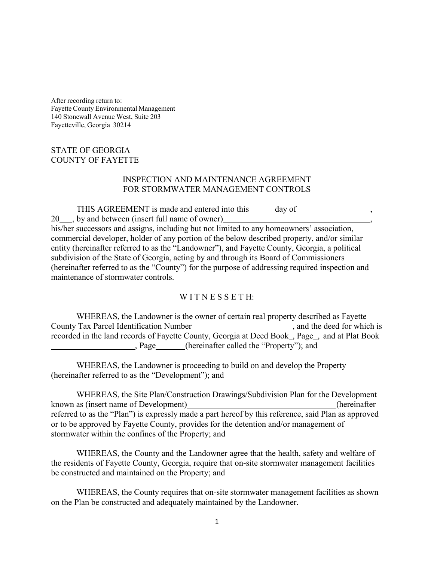After recording return to: Fayette County Environmental Management 140 Stonewall Avenue West, Suite 203 Fayetteville, Georgia 30214

## STATE OF GEORGIA COUNTY OF FAYETTE

## INSPECTION AND MAINTENANCE AGREEMENT FOR STORMWATER MANAGEMENT CONTROLS

THIS AGREEMENT is made and entered into this day of 20 , by and between (insert full name of owner) , his/her successors and assigns, including but not limited to any homeowners' association, commercial developer, holder of any portion of the below described property, and/or similar entity (hereinafter referred to as the "Landowner"), and Fayette County, Georgia, a political subdivision of the State of Georgia, acting by and through its Board of Commissioners (hereinafter referred to as the "County") for the purpose of addressing required inspection and maintenance of stormwater controls.

## WITNESSETH:

WHEREAS, the Landowner is the owner of certain real property described as Fayette County Tax Parcel Identification Number , and the deed for which is recorded in the land records of Fayette County, Georgia at Deed Book , Page , and at Plat Book , Page (hereinafter called the "Property"); and

WHEREAS, the Landowner is proceeding to build on and develop the Property (hereinafter referred to as the "Development"); and

WHEREAS, the Site Plan/Construction Drawings/Subdivision Plan for the Development known as (insert name of Development) (hereinafter referred to as the "Plan") is expressly made a part hereof by this reference, said Plan as approved or to be approved by Fayette County, provides for the detention and/or management of stormwater within the confines of the Property; and

WHEREAS, the County and the Landowner agree that the health, safety and welfare of the residents of Fayette County, Georgia, require that on-site stormwater management facilities be constructed and maintained on the Property; and

WHEREAS, the County requires that on-site stormwater management facilities as shown on the Plan be constructed and adequately maintained by the Landowner.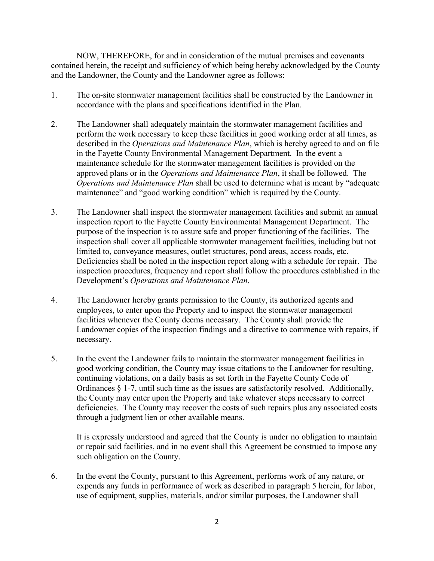NOW, THEREFORE, for and in consideration of the mutual premises and covenants contained herein, the receipt and sufficiency of which being hereby acknowledged by the County and the Landowner, the County and the Landowner agree as follows:

- 1. The on-site stormwater management facilities shall be constructed by the Landowner in accordance with the plans and specifications identified in the Plan.
- 2. The Landowner shall adequately maintain the stormwater management facilities and perform the work necessary to keep these facilities in good working order at all times, as described in the *Operations and Maintenance Plan*, which is hereby agreed to and on file in the Fayette County Environmental Management Department. In the event a maintenance schedule for the stormwater management facilities is provided on the approved plans or in the *Operations and Maintenance Plan*, it shall be followed. The *Operations and Maintenance Plan* shall be used to determine what is meant by "adequate maintenance" and "good working condition" which is required by the County.
- 3. The Landowner shall inspect the stormwater management facilities and submit an annual inspection report to the Fayette County Environmental Management Department. The purpose of the inspection is to assure safe and proper functioning of the facilities. The inspection shall cover all applicable stormwater management facilities, including but not limited to, conveyance measures, outlet structures, pond areas, access roads, etc. Deficiencies shall be noted in the inspection report along with a schedule for repair. The inspection procedures, frequency and report shall follow the procedures established in the Development's *Operations and Maintenance Plan*.
- 4. The Landowner hereby grants permission to the County, its authorized agents and employees, to enter upon the Property and to inspect the stormwater management facilities whenever the County deems necessary. The County shall provide the Landowner copies of the inspection findings and a directive to commence with repairs, if necessary.
- 5. In the event the Landowner fails to maintain the stormwater management facilities in good working condition, the County may issue citations to the Landowner for resulting, continuing violations, on a daily basis as set forth in the Fayette County Code of Ordinances § 1-7, until such time as the issues are satisfactorily resolved. Additionally, the County may enter upon the Property and take whatever steps necessary to correct deficiencies. The County may recover the costs of such repairs plus any associated costs through a judgment lien or other available means.

It is expressly understood and agreed that the County is under no obligation to maintain or repair said facilities, and in no event shall this Agreement be construed to impose any such obligation on the County.

6. In the event the County, pursuant to this Agreement, performs work of any nature, or expends any funds in performance of work as described in paragraph 5 herein, for labor, use of equipment, supplies, materials, and/or similar purposes, the Landowner shall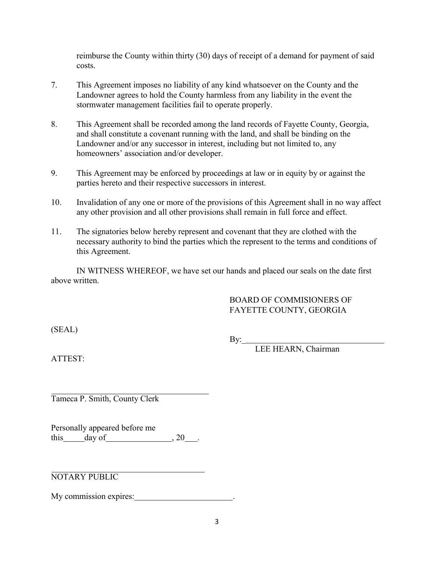reimburse the County within thirty (30) days of receipt of a demand for payment of said costs.

- 7. This Agreement imposes no liability of any kind whatsoever on the County and the Landowner agrees to hold the County harmless from any liability in the event the stormwater management facilities fail to operate properly.
- 8. This Agreement shall be recorded among the land records of Fayette County, Georgia, and shall constitute a covenant running with the land, and shall be binding on the Landowner and/or any successor in interest, including but not limited to, any homeowners' association and/or developer.
- 9. This Agreement may be enforced by proceedings at law or in equity by or against the parties hereto and their respective successors in interest.
- 10. Invalidation of any one or more of the provisions of this Agreement shall in no way affect any other provision and all other provisions shall remain in full force and effect.
- 11. The signatories below hereby represent and covenant that they are clothed with the necessary authority to bind the parties which the represent to the terms and conditions of this Agreement.

IN WITNESS WHEREOF, we have set our hands and placed our seals on the date first above written.

## BOARD OF COMMISIONERS OF FAYETTE COUNTY, GEORGIA

(SEAL)

 $By:$ 

LEE HEARN, Chairman

ATTEST:

Tameca P. Smith, County Clerk

Personally appeared before me this day of  $, 20$ .

NOTARY PUBLIC

My commission expires: